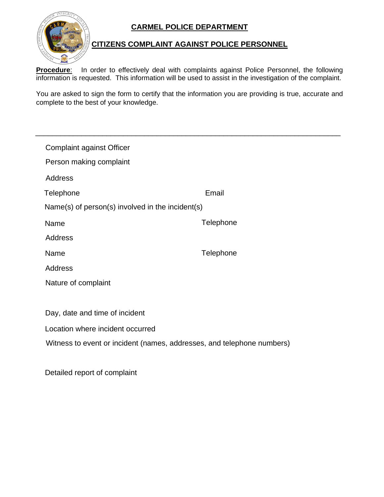## **CARMEL POLICE DEPARTMENT**



## **CITIZENS COMPLAINT AGAINST POLICE PERSONNEL**

**Procedure**: In order to effectively deal with complaints against Police Personnel, the following information is requested. This information will be used to assist in the investigation of the complaint.

You are asked to sign the form to certify that the information you are providing is true, accurate and complete to the best of your knowledge.

\_\_\_\_\_\_\_\_\_\_\_\_\_\_\_\_\_\_\_\_\_\_\_\_\_\_\_\_\_\_\_\_\_\_\_\_\_\_\_\_\_\_\_\_\_\_\_\_\_\_\_\_\_\_\_\_\_\_\_\_\_\_\_\_\_\_\_\_\_\_\_\_\_

| <b>Complaint against Officer</b>                 |           |  |
|--------------------------------------------------|-----------|--|
| Person making complaint                          |           |  |
| Address                                          |           |  |
| Telephone                                        | Email     |  |
| Name(s) of person(s) involved in the incident(s) |           |  |
| Name                                             | Telephone |  |
| <b>Address</b>                                   |           |  |
| Name                                             | Telephone |  |
| <b>Address</b>                                   |           |  |
| Nature of complaint                              |           |  |
|                                                  |           |  |
| Day, date and time of incident                   |           |  |
|                                                  |           |  |

Location where incident occurred

Witness to event or incident (names, addresses, and telephone numbers)

Detailed report of complaint